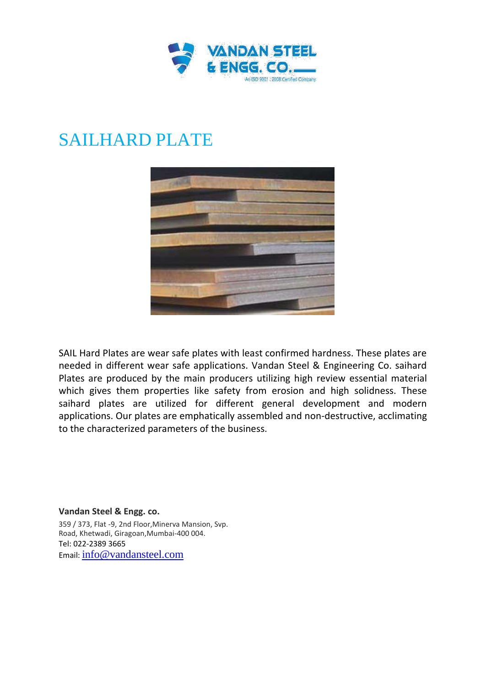

## SAILHARD PLATE



SAIL Hard Plates are wear safe plates with least confirmed hardness. These plates are needed in different wear safe applications. Vandan Steel & Engineering Co. saihard Plates are produced by the main producers utilizing high review essential material which gives them properties like safety from erosion and high solidness. These saihard plates are utilized for different general development and modern applications. Our plates are emphatically assembled and non-destructive, acclimating to the characterized parameters of the business.

**Vandan Steel & Engg. co.** 359 / 373, Flat -9, 2nd Floor,Minerva Mansion, Svp. Road, Khetwadi, Giragoan,Mumbai-400 004. Tel: 022-2389 3665 Email: info@vandansteel.com